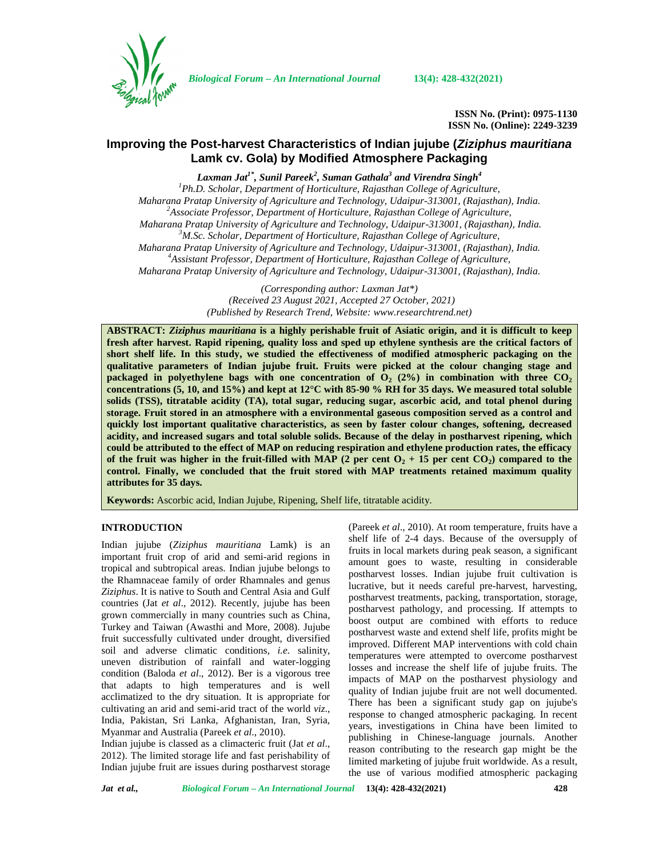

*Biological Forum – An International Journal* **13(4): 428-432(2021)**

**ISSN No. (Print): 0975-1130 ISSN No. (Online): 2249-3239**

# **Improving the Post-harvest Characteristics of Indian jujube (***Ziziphus mauritiana* **Lamk cv. Gola) by Modified Atmosphere Packaging**

*Laxman Jat1\* , Sunil Pareek<sup>2</sup> , Suman Gathala<sup>3</sup> and Virendra Singh<sup>4</sup>*

*<sup>1</sup>Ph.D. Scholar, Department of Horticulture, Rajasthan College of Agriculture, Maharana Pratap University of Agriculture and Technology, Udaipur-313001, (Rajasthan), India. <sup>2</sup>Associate Professor, Department of Horticulture, Rajasthan College of Agriculture, Maharana Pratap University of Agriculture and Technology, Udaipur-313001, (Rajasthan), India. <sup>3</sup>M.Sc. Scholar, Department of Horticulture, Rajasthan College of Agriculture, Maharana Pratap University of Agriculture and Technology, Udaipur-313001, (Rajasthan), India. <sup>4</sup>Assistant Professor, Department of Horticulture, Rajasthan College of Agriculture, Maharana Pratap University of Agriculture and Technology, Udaipur-313001, (Rajasthan), India.*

> *(Corresponding author: Laxman Jat\*) (Received 23 August 2021, Accepted 27 October, 2021) (Published by Research Trend, Website: [www.researchtrend.net\)](www.researchtrend.net)*

**ABSTRACT:** *Ziziphus mauritiana* **is a highly perishable fruit of Asiatic origin, and it is difficult to keep fresh after harvest. Rapid ripening, quality loss and sped up ethylene synthesis are the critical factors of short shelf life. In this study, we studied the effectiveness of modified atmospheric packaging on the qualitative parameters of Indian jujube fruit. Fruits were picked at the colour changing stage and packaged in polyethylene bags** with one concentration of  $O_2$  (2%) in combination with three  $CO_2$ **concentrations (5, 10, and 15%) and kept at 12°C with 85-90 % RH for 35 days. We measured total soluble solids (TSS), titratable acidity (TA), total sugar, reducing sugar, ascorbic acid, and total phenol during storage. Fruit stored in an atmosphere with a environmental gaseous composition served as a control and quickly lost important qualitative characteristics, as seen by faster colour changes, softening, decreased acidity, and increased sugars and total soluble solids. Because of the delay in postharvest ripening, which could be attributed to the effect of MAP on reducing respiration and ethylene production rates, the efficacy of the fruit was higher in the fruit-filled with MAP (2 per cent**  $O_2$  **+ 15 per cent**  $CO_2$ **) compared to the control. Finally, we concluded that the fruit stored with MAP treatments retained maximum quality attributes for 35 days.**

**Keywords:** Ascorbic acid, Indian Jujube, Ripening, Shelf life, titratable acidity.

## **INTRODUCTION**

Indian jujube (*Ziziphus mauritiana* Lamk) is an important fruit crop of arid and semi-arid regions in tropical and subtropical areas. Indian jujube belongs to the Rhamnaceae family of order Rhamnales and genus *Ziziphus*. It is native to South and Central Asia and Gulf countries (Jat *et al*., 2012). Recently, jujube has been grown commercially in many countries such as China, Turkey and Taiwan (Awasthi and More, 2008). Jujube fruit successfully cultivated under drought, diversified soil and adverse climatic conditions*, i.e.* salinity, uneven distribution of rainfall and water-logging condition (Baloda *et al*., 2012). Ber is a vigorous tree that adapts to high temperatures and is well acclimatized to the dry situation. It is appropriate for cultivating an arid and semi-arid tract of the world *viz*., India, Pakistan, Sri Lanka, Afghanistan, Iran, Syria, Myanmar and Australia (Pareek *et al*., 2010).

Indian jujube is classed as a climacteric fruit (Jat *et al*., 2012). The limited storage life and fast perishability of Indian jujube fruit are issues during postharvest storage

(Pareek *et al*., 2010). At room temperature, fruits have a shelf life of 2-4 days. Because of the oversupply of fruits in local markets during peak season, a significant amount goes to waste, resulting in considerable postharvest losses. Indian jujube fruit cultivation is lucrative, but it needs careful pre-harvest, harvesting, postharvest treatments, packing, transportation, storage, postharvest pathology, and processing. If attempts to boost output are combined with efforts to reduce postharvest waste and extend shelf life, profits might be improved. Different MAP interventions with cold chain temperatures were attempted to overcome postharvest losses and increase the shelf life of jujube fruits. The impacts of MAP on the postharvest physiology and quality of Indian jujube fruit are not well documented. There has been a significant study gap on jujube's response to changed atmospheric packaging. In recent years, investigations in China have been limited to publishing in Chinese-language journals. Another reason contributing to the research gap might be the limited marketing of jujube fruit worldwide. As a result, the use of various modified atmospheric packaging

*Jat et al., Biological Forum – An International Journal* **13(4): 428-432(2021) 428**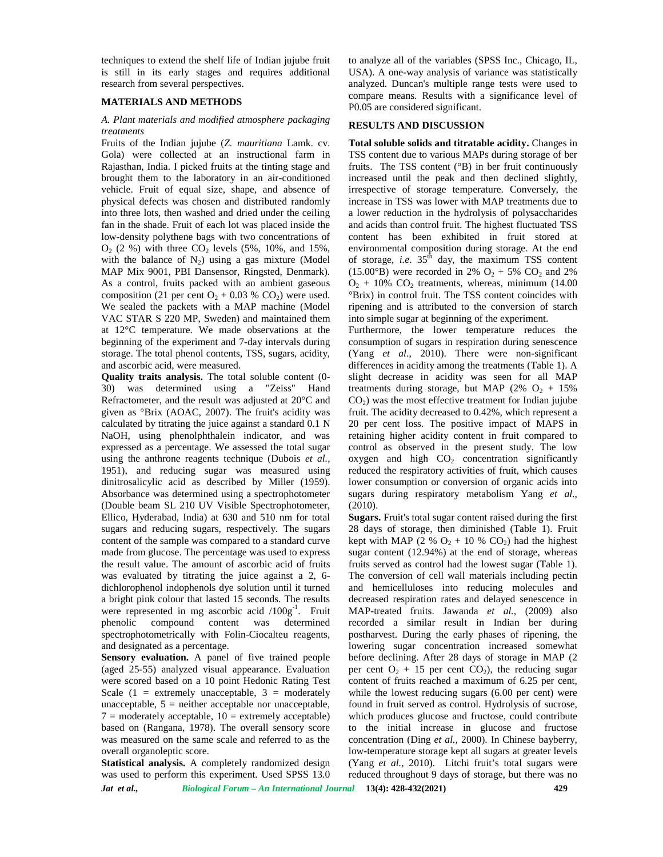techniques to extend the shelf life of Indian jujube fruit is still in its early stages and requires additional research from several perspectives.

## **MATERIALS AND METHODS**

#### *A. Plant materials and modified atmosphere packaging treatments*

Fruits of the Indian jujube (*Z. mauritiana* Lamk. cv. Gola) were collected at an instructional farm in Rajasthan, India. I picked fruits at the tinting stage and brought them to the laboratory in an air-conditioned vehicle. Fruit of equal size, shape, and absence of physical defects was chosen and distributed randomly into three lots, then washed and dried under the ceiling fan in the shade. Fruit of each lot was placed inside the low-density polythene bags with two concentrations of  $O_2$  (2 %) with three  $CO_2$  levels (5%, 10%, and 15%, with the balance of  $N_2$ ) using a gas mixture (Model MAP Mix 9001, PBI Dansensor, Ringsted, Denmark). As a control, fruits packed with an ambient gaseous composition (21 per cent  $O_2$  + 0.03 % CO<sub>2</sub>) were used. We sealed the packets with a MAP machine (Model VAC STAR S 220 MP, Sweden) and maintained them at 12°C temperature. We made observations at the beginning of the experiment and 7-day intervals during storage. The total phenol contents, TSS, sugars, acidity, and ascorbic acid, were measured.

**Quality traits analysis.** The total soluble content (0- 30) was determined using a "Zeiss" Hand Refractometer, and the result was adjusted at 20°C and given as °Brix (AOAC, 2007). The fruit's acidity was calculated by titrating the juice against a standard 0.1 N NaOH, using phenolphthalein indicator, and was expressed as a percentage. We assessed the total sugar using the anthrone reagents technique (Dubois *et al.,* 1951), and reducing sugar was measured using dinitrosalicylic acid as described by Miller (1959). Absorbance was determined using a spectrophotometer (Double beam SL 210 UV Visible Spectrophotometer, Ellico, Hyderabad, India) at 630 and 510 nm for total sugars and reducing sugars, respectively. The sugars content of the sample was compared to a standard curve made from glucose. The percentage was used to express the result value. The amount of ascorbic acid of fruits was evaluated by titrating the juice against a 2, 6 dichlorophenol indophenols dye solution until it turned a bright pink colour that lasted 15 seconds. The results were represented in mg ascorbic acid  $/100g^{-1}$ . Fruit N phenolic compound content was determined spectrophotometrically with Folin-Ciocalteu reagents, and designated as a percentage.

**Sensory evaluation.** A panel of five trained people (aged 25-55) analyzed visual appearance. Evaluation were scored based on a 10 point Hedonic Rating Test Scale  $(1 =$  extremely unacceptable,  $3 =$  moderately unacceptable,  $5 =$  neither acceptable nor unacceptable,  $7 =$  moderately acceptable,  $10 =$  extremely acceptable) based on (Rangana, 1978). The overall sensory score was measured on the same scale and referred to as the overall organoleptic score.

*Jat et al., Biological Forum – An International Journal* **13(4): 428-432(2021) 429 Statistical analysis.** A completely randomized design was used to perform this experiment. Used SPSS 13.0

to analyze all of the variables (SPSS Inc., Chicago, IL, USA). A one-way analysis of variance was statistically analyzed. Duncan's multiple range tests were used to compare means. Results with a significance level of P0.05 are considered significant.

### **RESULTS AND DISCUSSION**

**Total soluble solids and titratable acidity.** Changes in TSS content due to various MAPs during storage of ber fruits. The TSS content (°B) in ber fruit continuously increased until the peak and then declined slightly, irrespective of storage temperature. Conversely, the increase in TSS was lower with MAP treatments due to a lower reduction in the hydrolysis of polysaccharides and acids than control fruit. The highest fluctuated TSS content has been exhibited in fruit stored at environmental composition during storage. At the end of storage, *i.e.*  $35<sup>th</sup>$  day, the maximum TSS content (15.00°B) were recorded in 2%  $O_2$  + 5%  $CO_2$  and 2%  $O<sub>2</sub> + 10\%$  CO<sub>2</sub> treatments, whereas, minimum (14.00) °Brix) in control fruit. The TSS content coincides with ripening and is attributed to the conversion of starch into simple sugar at beginning of the experiment.

Furthermore, the lower temperature reduces the consumption of sugars in respiration during senescence (Yang *et al*., 2010). There were non-significant differences in acidity among the treatments (Table 1). A slight decrease in acidity was seen for all MAP treatments during storage, but MAP  $(2\%$  O<sub>2</sub> + 15%  $CO<sub>2</sub>$ ) was the most effective treatment for Indian jujube fruit. The acidity decreased to 0.42%, which represent a 20 per cent loss. The positive impact of MAPS in retaining higher acidity content in fruit compared to control as observed in the present study. The low oxygen and high  $CO<sub>2</sub>$  concentration significantly reduced the respiratory activities of fruit, which causes lower consumption or conversion of organic acids into sugars during respiratory metabolism Yang *et al*., (2010).

**Sugars.** Fruit's total sugar content raised during the first 28 days of storage, then diminished (Table 1). Fruit kept with MAP (2 %  $O_2$  + 10 %  $CO_2$ ) had the highest sugar content (12.94%) at the end of storage, whereas fruits served as control had the lowest sugar (Table 1). The conversion of cell wall materials including pectin and hemicelluloses into reducing molecules and decreased respiration rates and delayed senescence in MAP-treated fruits. Jawanda *et al.,* (2009) also recorded a similar result in Indian ber during postharvest. During the early phases of ripening, the lowering sugar concentration increased somewhat before declining. After 28 days of storage in MAP (2 per cent  $O_2 + 15$  per cent  $CO_2$ ), the reducing sugar content of fruits reached a maximum of 6.25 per cent, while the lowest reducing sugars (6.00 per cent) were found in fruit served as control. Hydrolysis of sucrose, which produces glucose and fructose, could contribute to the initial increase in glucose and fructose concentration (Ding *et al.,* 2000). In Chinese bayberry, low-temperature storage kept all sugars at greater levels (Yang *et al.,* 2010). Litchi fruit's total sugars were reduced throughout 9 days of storage, but there was no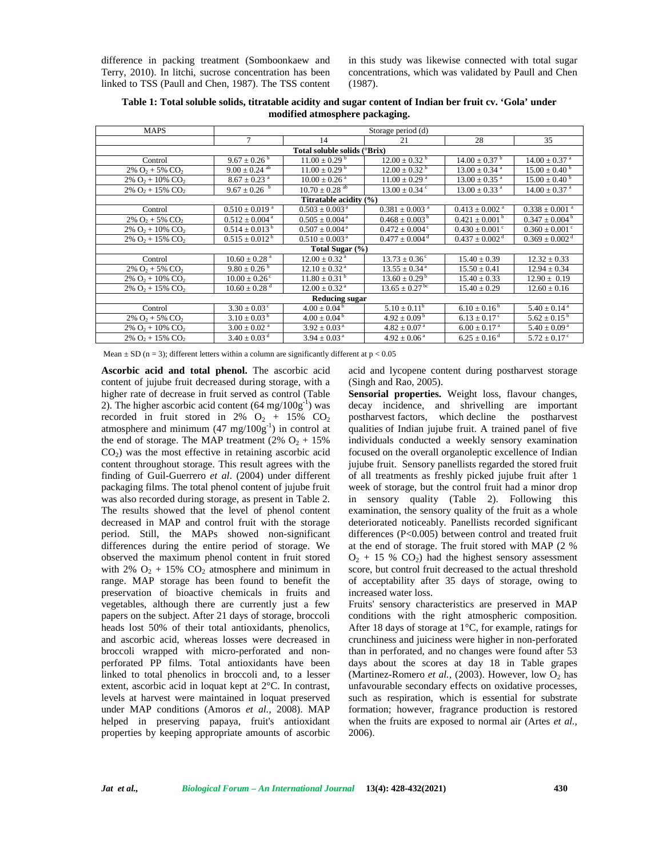difference in packing treatment (Somboonkaew and Terry, 2010). In litchi, sucrose concentration has been linked to TSS (Paull and Chen, 1987). The TSS content in this study was likewise connected with total sugar concentrations, which was validated by Paull and Chen (1987).

| <b>MAPS</b>                                 | Storage period (d)             |                                |                                |                                |                                |  |  |  |
|---------------------------------------------|--------------------------------|--------------------------------|--------------------------------|--------------------------------|--------------------------------|--|--|--|
|                                             | 7                              | 14                             | 21                             | 28                             | 35                             |  |  |  |
|                                             |                                | Total soluble solids (°Brix)   |                                |                                |                                |  |  |  |
| Control                                     | $9.67 \pm 0.26^{\mathrm{b}}$   | $11.00 \pm 0.29^{\text{ b}}$   | $12.00 \pm 0.32^{\mathrm{b}}$  | $14.00 \pm 0.37$ <sup>b</sup>  | $14.00 \pm 0.37$ <sup>a</sup>  |  |  |  |
| $2\%$ O <sub>2</sub> + 5\% CO <sub>2</sub>  | $9.00 \pm 0.24$ <sup>ab</sup>  | $11.00 \pm 0.29$ <sup>b</sup>  | $12.00 \pm 0.32^{\circ}$       | $13.00 \pm 0.34$ <sup>a</sup>  | $15.00 \pm 0.40^{\circ}$       |  |  |  |
| $2\%$ O <sub>2</sub> + 10% CO <sub>2</sub>  | $8.67 \pm 0.23$ <sup>a</sup>   | $10.00 \pm 0.26$ <sup>a</sup>  | $11.00 \pm 0.29$ <sup>a</sup>  | $13.00 \pm 0.35$ <sup>a</sup>  | $15.00 \pm 0.40^{\mathrm{b}}$  |  |  |  |
| $2\%$ O <sub>2</sub> + 15\% CO <sub>2</sub> | $9.67 \pm 0.26$ b              | $10.70 \pm 0.28$ <sup>ab</sup> | $13.00 \pm 0.34$ °             | $13.00 \pm 0.33$ <sup>a</sup>  | $14.00 \pm 0.37$ <sup>a</sup>  |  |  |  |
| Titratable acidity (%)                      |                                |                                |                                |                                |                                |  |  |  |
| Control                                     | $0.510 \pm 0.019$ <sup>a</sup> | $0.503 \pm 0.003$ <sup>a</sup> | $0.381 \pm 0.003$ <sup>a</sup> | $0.413 \pm 0.002$ <sup>a</sup> | $0.338 \pm 0.001$ <sup>a</sup> |  |  |  |
| $2\%$ O <sub>2</sub> + 5% CO <sub>2</sub>   | $0.512 \pm 0.004$ <sup>a</sup> | $0.505 \pm 0.004$ <sup>a</sup> | $0.468 \pm 0.003^{\mathrm{b}}$ | $0.421 \pm 0.001^{\text{ b}}$  | $0.347 \pm 0.004^{\mathrm{b}}$ |  |  |  |
| $2\%$ O <sub>2</sub> + 10% CO <sub>2</sub>  | $0.514 \pm 0.013^{\mathrm{b}}$ | $0.507 \pm 0.004$ <sup>a</sup> | $0.472 \pm 0.004$ <sup>c</sup> | $0.430 \pm 0.001$ <sup>c</sup> | $0.360 \pm 0.001$ <sup>c</sup> |  |  |  |
| $2\%$ O <sub>2</sub> + 15\% CO <sub>2</sub> | $0.515 \pm 0.012^{\mathrm{b}}$ | $0.510 \pm 0.003$ <sup>a</sup> | $0.477 \pm 0.004$ <sup>d</sup> | $0.437 \pm 0.002$ <sup>d</sup> | $0.369 \pm 0.002$ <sup>d</sup> |  |  |  |
|                                             |                                | Total Sugar (%)                |                                |                                |                                |  |  |  |
| Control                                     | $10.60 \pm 0.28$ <sup>a</sup>  | $12.00 \pm 0.32$ <sup>a</sup>  | $13.73 \pm 0.36^{\circ}$       | $15.40 \pm 0.39$               | $12.32 + 0.33$                 |  |  |  |
| $2\%$ O <sub>2</sub> + 5\% CO <sub>2</sub>  | $9.80 \pm 0.26$                | $12.10 \pm 0.32$ <sup>a</sup>  | $13.55 \pm 0.34$ <sup>a</sup>  | $15.50 \pm 0.41$               | $12.94 \pm 0.34$               |  |  |  |
| $2\%$ O <sub>2</sub> + 10% CO <sub>2</sub>  | $10.00 \pm 0.26$ <sup>c</sup>  | $11.80 \pm 0.31^{\mathrm{b}}$  | $13.60 \pm 0.29^{\mathrm{b}}$  | $15.40 \pm 0.33$               | $12.90 \pm 0.19$               |  |  |  |
| $2\%$ O <sub>2</sub> + 15% CO <sub>2</sub>  | $10.60 \pm 0.28$ <sup>d</sup>  | $12.00 \pm 0.32$ <sup>a</sup>  | $13.65 \pm 0.27$ <sup>bc</sup> | $15.40 \pm 0.29$               | $12.60 \pm 0.16$               |  |  |  |
|                                             |                                | <b>Reducing sugar</b>          |                                |                                |                                |  |  |  |
| Control                                     | $3.30 \pm 0.03$ <sup>c</sup>   | $4.00 \pm 0.04^{\mathrm{b}}$   | $5.10 \pm 0.11^b$              | $6.10 \pm 0.16^{\mathrm{b}}$   | $5.40 \pm 0.14$ <sup>a</sup>   |  |  |  |
| $2\%$ O <sub>2</sub> + 5% CO <sub>2</sub>   | $3.10 \pm 0.03^{\mathrm{b}}$   | $4.00 \pm 0.04^{\mathrm{b}}$   | $4.92 \pm 0.09^{\mathrm{b}}$   | $6.13 \pm 0.17$ <sup>c</sup>   | $5.62 \pm 0.15^{\mathrm{b}}$   |  |  |  |
| $2\%$ O <sub>2</sub> + 10% CO <sub>2</sub>  | $3.00 \pm 0.02$ <sup>a</sup>   | $3.92 \pm 0.03$ <sup>a</sup>   | $4.82 \pm 0.07$ <sup>a</sup>   | $6.00 \pm 0.17$ <sup>a</sup>   | $5.40 \pm 0.09^{\text{ a}}$    |  |  |  |
| $2\%$ O <sub>2</sub> + 15\% CO <sub>2</sub> | $3.40 \pm 0.03$ <sup>d</sup>   | $3.94 \pm 0.03$ <sup>a</sup>   | $4.92 \pm 0.06^{\text{ a}}$    | $6.25 \pm 0.16$ <sup>d</sup>   | $5.72 \pm 0.17$ <sup>c</sup>   |  |  |  |

**Table 1: Total soluble solids, titratable acidity and sugar content of Indian ber fruit cv. 'Gola' under modified atmosphere packaging.**

Mean  $\pm$  SD (n = 3); different letters within a column are significantly different at p < 0.05

**Ascorbic acid and total phenol.** The ascorbic acid content of jujube fruit decreased during storage, with a higher rate of decrease in fruit served as control (Table 2). The higher ascorbic acid content  $(64 \text{ mg}/100 \text{g}^{-1})$  was recorded in fruit stored in 2%  $O_2$  + 15%  $CO_2$ atmosphere and minimum  $(47 \text{ mg}/100g^{-1})$  in control at the end of storage. The MAP treatment  $(2\% \text{ O}_2 + 15\%$  $CO<sub>2</sub>$ ) was the most effective in retaining ascorbic acid content throughout storage. This result agrees with the finding of Guil-Guerrero *et al*. (2004) under different packaging films. The total phenol content of jujube fruit was also recorded during storage, as present in Table 2. The results showed that the level of phenol content decreased in MAP and control fruit with the storage period. Still, the MAPs showed non-significant differences during the entire period of storage. We observed the maximum phenol content in fruit stored with 2%  $O_2$  + 15%  $CO_2$  atmosphere and minimum in range. MAP storage has been found to benefit the preservation of bioactive chemicals in fruits and vegetables, although there are currently just a few papers on the subject. After 21 days of storage, broccoli heads lost 50% of their total antioxidants, phenolics, and ascorbic acid, whereas losses were decreased in broccoli wrapped with micro-perforated and non perforated PP films. Total antioxidants have been linked to total phenolics in broccoli and, to a lesser extent, ascorbic acid in loquat kept at 2°C. In contrast, levels at harvest were maintained in loquat preserved under MAP conditions (Amoros *et al.,* 2008). MAP helped in preserving papaya, fruit's antioxidant properties by keeping appropriate amounts of ascorbic

acid and lycopene content during postharvest storage (Singh and Rao, 2005).

**Sensorial properties.** Weight loss, flavour changes, decay incidence, and shrivelling are important postharvest factors, which decline the postharvest qualities of Indian jujube fruit. A trained panel of five individuals conducted a weekly sensory examination focused on the overall organoleptic excellence of Indian jujube fruit. Sensory panellists regarded the stored fruit of all treatments as freshly picked jujube fruit after 1 week of storage, but the control fruit had a minor drop sensory quality (Table 2). Following this examination, the sensory quality of the fruit as a whole deteriorated noticeably. Panellists recorded significant differences (P<0.005) between control and treated fruit at the end of storage. The fruit stored with MAP (2 %  $O_2$  + 15 %  $CO_2$ ) had the highest sensory assessment score, but control fruit decreased to the actual threshold of acceptability after 35 days of storage, owing to increased water loss.

Fruits' sensory characteristics are preserved in MAP conditions with the right atmospheric composition. After 18 days of storage at  $1^{\circ}$ C, for example, ratings for crunchiness and juiciness were higher in non-perforated than in perforated, and no changes were found after 53 days about the scores at day 18 in Table grapes (Martinez-Romero *et al.,* (2003). However, low  $O_2$  has unfavourable secondary effects on oxidative processes, such as respiration, which is essential for substrate formation; however, fragrance production is restored when the fruits are exposed to normal air (Artes *et al.,* 2006).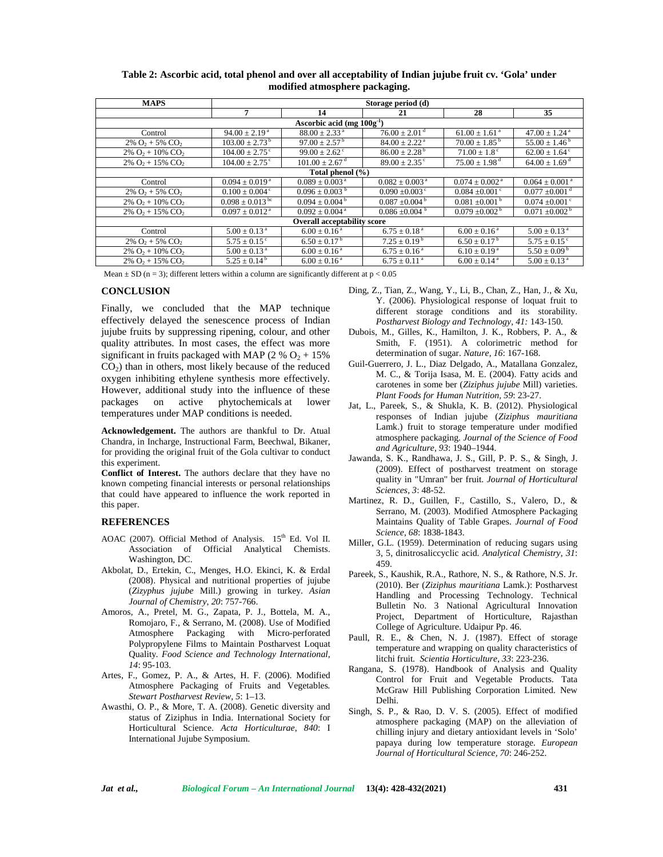| <b>MAPS</b>                                 | Storage period (d)              |                                |                                |                                |                                |  |  |  |
|---------------------------------------------|---------------------------------|--------------------------------|--------------------------------|--------------------------------|--------------------------------|--|--|--|
|                                             | 7                               | 14                             | 21                             | 28                             | 35                             |  |  |  |
| Ascorbic acid (mg $100g^{-1}$ )             |                                 |                                |                                |                                |                                |  |  |  |
| Control                                     | $94.00 \pm 2.19^{\text{a}}$     | $88.00 \pm 2.33$ <sup>a</sup>  | $76.00 \pm 2.01$ <sup>d</sup>  | $61.00 \pm 1.61$ <sup>a</sup>  | $47.00 \pm 1.24$ <sup>a</sup>  |  |  |  |
| $2\%$ O <sub>2</sub> + 5\% CO <sub>2</sub>  | $103.00 \pm 2.73^{\mathrm{b}}$  | $97.00 \pm 2.57^{\mathrm{b}}$  | $84.00 \pm 2.22$ <sup>a</sup>  | $70.00 \pm 1.85^{\mathrm{b}}$  | $55.00 \pm 1.46^{\mathrm{b}}$  |  |  |  |
| $2\%$ O <sub>2</sub> + 10\% CO <sub>2</sub> | $104.00 \pm 2.75$ <sup>c</sup>  | $99.00 \pm 2.62$ <sup>c</sup>  | $86.00 \pm 2.28^{\mathrm{b}}$  | $71.00 \pm 1.8$ <sup>c</sup>   | $62.00 \pm 1.64$ <sup>c</sup>  |  |  |  |
| $2\%$ O <sub>2</sub> + 15\% CO <sub>2</sub> | $104.00 \pm 2.75$ °             | $101.00 \pm 2.67$ <sup>d</sup> | $89.00 \pm 2.35$ <sup>c</sup>  | $75.00 \pm 1.98$ <sup>d</sup>  | $64.00 \pm 1.69$ <sup>d</sup>  |  |  |  |
| Total phenol (%)                            |                                 |                                |                                |                                |                                |  |  |  |
| Control                                     | $0.094 \pm 0.019^{\text{ a}}$   | $0.089 \pm 0.003$ <sup>a</sup> | $0.082 \pm 0.003$ <sup>a</sup> | $0.074 \pm 0.002$ <sup>a</sup> | $0.064 \pm 0.001$ <sup>a</sup> |  |  |  |
| $2\%$ O <sub>2</sub> + 5\% CO <sub>2</sub>  | $0.100 \pm 0.004$ <sup>c</sup>  | $0.096 \pm 0.003$ <sup>b</sup> | $0.090 \pm 0.003$ <sup>c</sup> | $0.084 \pm 0.001$ <sup>c</sup> | $0.077 \pm 0.001$ <sup>d</sup> |  |  |  |
| $2\%$ O <sub>2</sub> + 10\% CO <sub>2</sub> | $0.098 \pm 0.013$ <sup>bc</sup> | $0.094 \pm 0.004^{\mathrm{b}}$ | $0.087 \pm 0.004^{\mathrm{b}}$ | $0.081 \pm 0.001$ <sup>b</sup> | $0.074 \pm 0.001$ <sup>c</sup> |  |  |  |
| $2\%$ O <sub>2</sub> + 15\% CO <sub>2</sub> | $0.097 \pm 0.012^{\text{a}}$    | $0.092 \pm 0.004$ <sup>a</sup> | $0.086 \pm 0.004$              | $0.079 \pm 0.002^{\circ}$      | $0.071 \pm 0.002^{\text{b}}$   |  |  |  |
| <b>Overall acceptability score</b>          |                                 |                                |                                |                                |                                |  |  |  |
| Control                                     | $5.00 \pm 0.13$ <sup>a</sup>    | $6.00 \pm 0.16^{\text{a}}$     | $6.75 \pm 0.18$ <sup>a</sup>   | $6.00 \pm 0.16^{\text{a}}$     | $5.00 \pm 0.13$ <sup>a</sup>   |  |  |  |
| $2\%$ O <sub>2</sub> + 5\% CO <sub>2</sub>  | $5.75 \pm 0.15$ <sup>c</sup>    | $6.50 \pm 0.17^{\mathrm{b}}$   | $7.25 \pm 0.19^{\mathrm{b}}$   | $6.50 \pm 0.17^{\mathrm{b}}$   | $5.75 \pm 0.15$ <sup>c</sup>   |  |  |  |
| $2\%$ O <sub>2</sub> + 10\% CO <sub>2</sub> | $5.00 \pm 0.13$ <sup>a</sup>    | $6.00 \pm 0.16^{\text{a}}$     | $6.75 \pm 0.16^{\text{a}}$     | $6.10 \pm 0.19^{\text{a}}$     | $5.50 \pm 0.09^{\mathrm{b}}$   |  |  |  |
| $2\%$ O <sub>2</sub> + 15\% CO <sub>2</sub> | $5.25 \pm 0.14^{\mathrm{b}}$    | $6.00 \pm 0.16^{\text{a}}$     | $6.75 \pm 0.11$ <sup>a</sup>   | $6.00 \pm 0.14$ <sup>a</sup>   | $5.00 \pm 0.13$ <sup>a</sup>   |  |  |  |

**Table 2: Ascorbic acid, total phenol and over all acceptability of Indian jujube fruit cv. 'Gola' under modified atmosphere packaging.**

Mean  $\pm$  SD (n = 3); different letters within a column are significantly different at p < 0.05

## **CONCLUSION**

Finally, we concluded that the MAP technique effectively delayed the senescence process of Indian jujube fruits by suppressing ripening, colour, and other quality attributes. In most cases, the effect was more significant in fruits packaged with MAP (2 %  $O_2 + 15%$ CO2) than in others, most likely because of the reduced oxygen inhibiting ethylene synthesis more effectively. However, additional study into the influence of these packages on active phytochemicals at lower temperatures under MAP conditions is needed.

**Acknowledgement.** The authors are thankful to Dr. Atual Chandra, in Incharge, Instructional Farm, Beechwal, Bikaner, for providing the original fruit of the Gola cultivar to conduct this experiment.

**Conflict of Interest.** The authors declare that they have no known competing financial interests or personal relationships that could have appeared to influence the work reported in this paper.

#### **REFERENCES**

- AOAC (2007). Official Method of Analysis. 15<sup>th</sup> Ed. Vol II. Association of Official Analytical Chemists. Washington, DC.
- Akbolat, D., Ertekin, C., Menges, H.O. Ekinci, K. & Erdal (2008). Physical and nutritional properties of jujube (*Zizyphus jujube* Mill.) growing in turkey. *Asian Journal of Chemistry*, *20*: 757-766.
- Amoros, A., Pretel, M. G., Zapata, P. J., Bottela, M. A., Romojaro, F., & Serrano, M. (2008). Use of Modified Atmosphere Packaging with Micro-perforated Polypropylene Films to Maintain Postharvest Loquat Quality*. Food Science and Technology International, 14*: 95-103.
- Artes, F., Gomez, P. A., & Artes, H. F. (2006). Modified Atmosphere Packaging of Fruits and Vegetables*. Stewart Postharvest Review, 5*: 1–13.
- Awasthi, O. P., & More, T. A. (2008). Genetic diversity and status of Ziziphus in India. International Society for Horticultural Science. *Acta Horticulturae, 840*: I International Jujube Symposium.
- Ding, Z., Tian, Z., Wang, Y., Li, B., Chan, Z., Han, J., & Xu, Y. (2006). Physiological response of loquat fruit to different storage conditions and its storability. *Postharvest Biology and Technology, 41:* 143-150.
- Dubois, M., Gilles, K., Hamilton, J. K., Robbers, P. A., & Smith, F. (1951). A colorimetric method for determination of sugar. *Nature, 16*: 167-168.
- Guil-Guerrero, J. L., Diaz Delgado, A., Matallana Gonzalez, M. C., & Torija Isasa, M. E. (2004). Fatty acids and carotenes in some ber (*Ziziphus jujube* Mill) varieties. *Plant Foods for Human Nutrition, 59*: 23-27.
- Jat, L., Pareek, S., & Shukla, K. B. (2012). Physiological responses of Indian jujube (*Ziziphus mauritiana* Lamk.) fruit to storage temperature under modified atmosphere packaging. *Journal of the Science of Food and Agriculture, 93*: 1940–1944.
- Jawanda, S. K., Randhawa, J. S., Gill, P. P. S., & Singh, J. (2009). Effect of postharvest treatment on storage quality in "Umran" ber fruit. *Journal of Horticultural Sciences, 3*: 48-52.
- Martinez, R. D., Guillen, F., Castillo, S., Valero, D., & Serrano, M. (2003). Modified Atmosphere Packaging Maintains Quality of Table Grapes. *Journal of Food Science, 68*: 1838-1843.
- Miller, G.L. (1959). Determination of reducing sugars using 3, 5, dinitrosaliccyclic acid. *Analytical Chemistry, 31*: 459.
- Pareek, S., Kaushik, R.A., Rathore, N. S., & Rathore, N.S. Jr. (2010). Ber (*Ziziphus mauritiana* Lamk.): Postharvest Handling and Processing Technology. Technical Bulletin No. 3 National Agricultural Innovation Project, Department of Horticulture, Rajasthan College of Agriculture. Udaipur Pp. 46.
- Paull, R. E., & Chen, N. J. (1987). Effect of storage temperature and wrapping on quality characteristics of litchi fruit*. Scientia Horticulture*, *33*: 223-236.
- Rangana, S. (1978). Handbook of Analysis and Quality Control for Fruit and Vegetable Products. Tata McGraw Hill Publishing Corporation Limited. New Delhi.
- Singh, S. P., & Rao, D. V. S. (2005). Effect of modified atmosphere packaging (MAP) on the alleviation of chilling injury and dietary antioxidant levels in 'Solo' papaya during low temperature storage. *European Journal of Horticultural Science, 70*: 246-252.